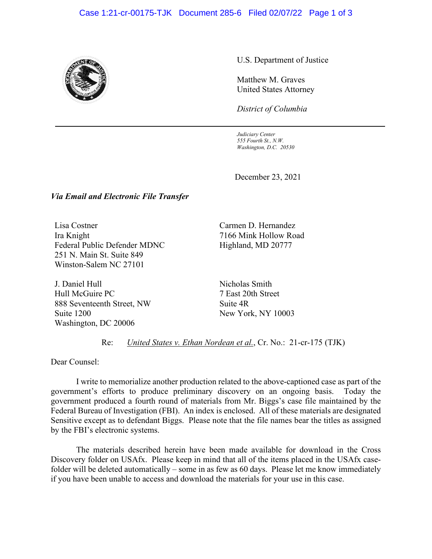## Case 1:21-cr-00175-TJK Document 285-6 Filed 02/07/22 Page 1 of 3



U.S. Department of Justice

Matthew M. Graves United States Attorney

*District of Columbia*

*Judiciary Center 555 Fourth St., N.W. Washington, D.C. 20530*

December 23, 2021

## *Via Email and Electronic File Transfer*

Lisa Costner Ira Knight Federal Public Defender MDNC 251 N. Main St. Suite 849 Winston-Salem NC 27101

J. Daniel Hull Hull McGuire PC 888 Seventeenth Street, NW Suite 1200 Washington, DC 20006

Carmen D. Hernandez 7166 Mink Hollow Road Highland, MD 20777

Nicholas Smith 7 East 20th Street Suite 4R New York, NY 10003

Re: *United States v. Ethan Nordean et al.*, Cr. No.: 21-cr-175 (TJK)

Dear Counsel:

I write to memorialize another production related to the above-captioned case as part of the government's efforts to produce preliminary discovery on an ongoing basis. Today the government produced a fourth round of materials from Mr. Biggs's case file maintained by the Federal Bureau of Investigation (FBI). An index is enclosed. All of these materials are designated Sensitive except as to defendant Biggs. Please note that the file names bear the titles as assigned by the FBI's electronic systems.

The materials described herein have been made available for download in the Cross Discovery folder on USAfx. Please keep in mind that all of the items placed in the USAfx casefolder will be deleted automatically – some in as few as 60 days. Please let me know immediately if you have been unable to access and download the materials for your use in this case.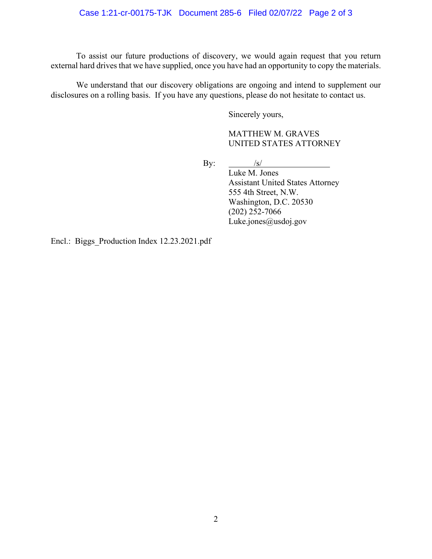To assist our future productions of discovery, we would again request that you return external hard drives that we have supplied, once you have had an opportunity to copy the materials.

We understand that our discovery obligations are ongoing and intend to supplement our disclosures on a rolling basis. If you have any questions, please do not hesitate to contact us.

Sincerely yours,

MATTHEW M. GRAVES UNITED STATES ATTORNEY

By:  $/s/$ 

Luke M. Jones Assistant United States Attorney 555 4th Street, N.W. Washington, D.C. 20530 (202) 252-7066 Luke.jones@usdoj.gov

Encl.: Biggs\_Production Index 12.23.2021.pdf